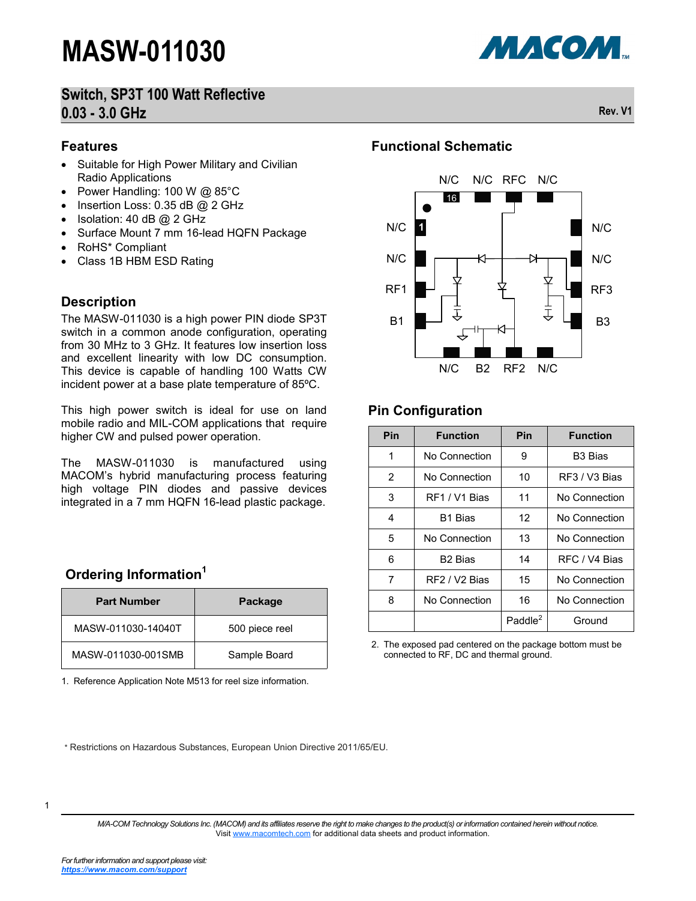

#### **Features**

- Suitable for High Power Military and Civilian Radio Applications
- Power Handling: 100 W @ 85°C
- $\bullet$  Insertion Loss: 0.35 dB @ 2 GHz
- Isolation: 40 dB @ 2 GHz
- Surface Mount 7 mm 16-lead HQFN Package
- RoHS\* Compliant
- Class 1B HBM ESD Rating

#### **Description**

The MASW-011030 is a high power PIN diode SP3T switch in a common anode configuration, operating from 30 MHz to 3 GHz. It features low insertion loss and excellent linearity with low DC consumption. This device is capable of handling 100 Watts CW incident power at a base plate temperature of 85ºC.

This high power switch is ideal for use on land mobile radio and MIL-COM applications that require higher CW and pulsed power operation.

The MASW-011030 is manufactured using MACOM's hybrid manufacturing process featuring high voltage PIN diodes and passive devices integrated in a 7 mm HQFN 16-lead plastic package.

#### **Ordering Information<sup>1</sup>**

| <b>Part Number</b> | Package        |
|--------------------|----------------|
| MASW-011030-14040T | 500 piece reel |
| MASW-011030-001SMB | Sample Board   |

1. Reference Application Note M513 for reel size information.

#### **Functional Schematic**



#### **Pin Configuration**

| Pin | <b>Function</b>           | Pin                 | <b>Function</b>     |
|-----|---------------------------|---------------------|---------------------|
| 1   | No Connection             | 9                   | B <sub>3</sub> Bias |
| 2   | No Connection             | 10                  | RF3 / V3 Bias       |
| 3   | RF1 / V1 Bias             | 11                  | No Connection       |
| 4   | B <sub>1</sub> Bias       | 12                  | No Connection       |
| 5   | No Connection             | 13                  | No Connection       |
| 6   | <b>B<sub>2</sub></b> Bias | 14                  | RFC / V4 Bias       |
| 7   | RF2 / V2 Bias             | 15                  | No Connection       |
| 8   | No Connection             | 16                  | No Connection       |
|     |                           | Paddle <sup>2</sup> | Ground              |

2. The exposed pad centered on the package bottom must be connected to RF, DC and thermal ground.

\* Restrictions on Hazardous Substances, European Union Directive 2011/65/EU.

*M/A-COM Technology Solutions Inc. (MACOM) and its affiliates reserve the right to make changes to the product(s) or information contained herein without notice.*  Visit [www.macomtech.com](http://www.macom.com/) for additional data sheets and product information.

МАСОМ.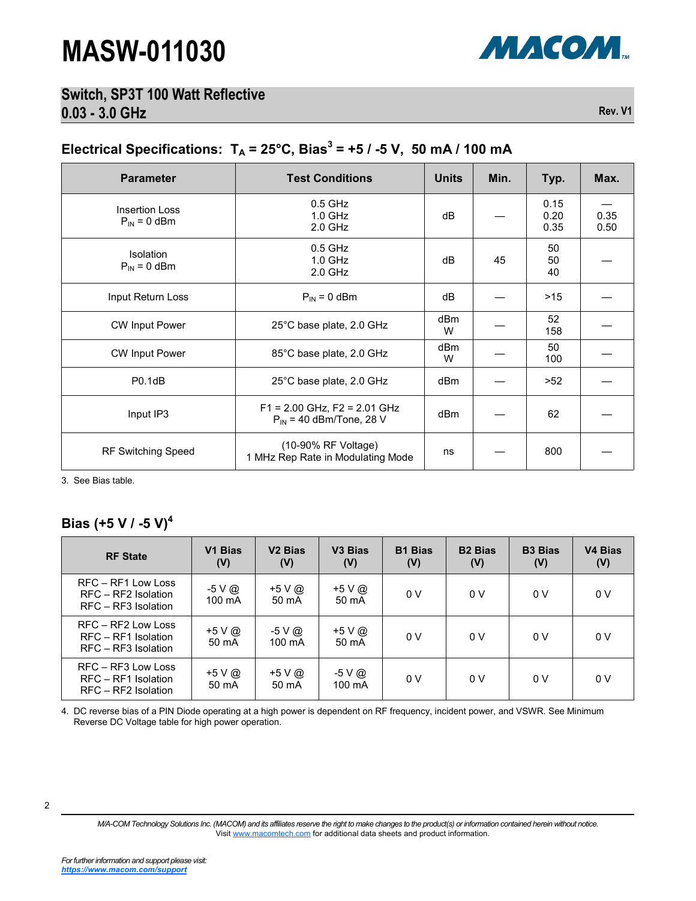

#### **Switch, SP3T 100 Watt Reflective 0.03 - 3.0 GHz Rev. V1**

### Electrical Specifications:  $T_A = 25^{\circ}$ C, Bias<sup>3</sup> = +5 / -5 V, 50 mA / 100 mA

| <b>Parameter</b>                          | <b>Test Conditions</b>                                           | <b>Units</b>         | Min. | Typ.                 | Max.         |
|-------------------------------------------|------------------------------------------------------------------|----------------------|------|----------------------|--------------|
| <b>Insertion Loss</b><br>$P_{IN} = 0$ dBm | $0.5$ GHz<br>$1.0$ GHz<br>$2.0$ GHz                              | dB                   |      | 0.15<br>0.20<br>0.35 | 0.35<br>0.50 |
| <b>Isolation</b><br>$P_{IN} = 0$ dBm      | $0.5$ GHz<br>1.0 GHz<br>$2.0$ GHz                                | dB                   | 45   | 50<br>50<br>40       |              |
| Input Return Loss                         | $P_{IN}$ = 0 dBm                                                 | dB                   |      | >15                  |              |
| <b>CW Input Power</b>                     | 25°C base plate, 2.0 GHz                                         | dB <sub>m</sub><br>W |      | 52<br>158            |              |
| <b>CW Input Power</b>                     | 85°C base plate, 2.0 GHz                                         | dBm<br>W             |      | 50<br>100            |              |
| PO.1dB                                    | 25°C base plate, 2.0 GHz                                         | dBm                  |      | >52                  |              |
| Input IP3                                 | $F1 = 2.00$ GHz, $F2 = 2.01$ GHz<br>$P_{IN}$ = 40 dBm/Tone, 28 V | dBm                  |      | 62                   |              |
| <b>RF Switching Speed</b>                 | (10-90% RF Voltage)<br>1 MHz Rep Rate in Modulating Mode         | ns                   |      | 800                  |              |

3. See Bias table.

#### **Bias (+5 V / -5 V)<sup>4</sup>**

| <b>RF State</b>                                                    | V1 Bias<br>(V)             | V <sub>2</sub> Bias<br>(V) | V <sub>3</sub> Bias<br>(V) | <b>B1 Bias</b><br>(V) | <b>B2 Bias</b><br>(V) | <b>B3 Bias</b><br>(V) | <b>V4 Bias</b><br>(V) |
|--------------------------------------------------------------------|----------------------------|----------------------------|----------------------------|-----------------------|-----------------------|-----------------------|-----------------------|
| RFC - RF1 Low Loss<br>RFC - RF2 Isolation<br>RFC - RF3 Isolation   | -5 V @<br>$100 \text{ mA}$ | +5 V @<br>50 mA            | $+5V@$<br>50 mA            | 0 V                   | 0 V                   | 0 V                   | 0 V                   |
| RFC - RF2 Low Loss<br>RFC - RF1 Isolation<br>$RFC - RF3$ Isolation | +5 V @<br>50 mA            | -5 V @<br>100 mA           | +5 V @<br>50 mA            | 0 V                   | 0V                    | 0 V                   | 0 V                   |
| RFC - RF3 Low Loss<br>RFC - RF1 Isolation<br>RFC - RF2 Isolation   | +5 V @<br>50 mA            | $+5$ V $\omega$<br>50 mA   | $-5 \vee \omega$<br>100 mA | 0 V                   | 0V                    | 0 V                   | 0 V                   |

4. DC reverse bias of a PIN Diode operating at a high power is dependent on RF frequency, incident power, and VSWR. See Minimum Reverse DC Voltage table for high power operation.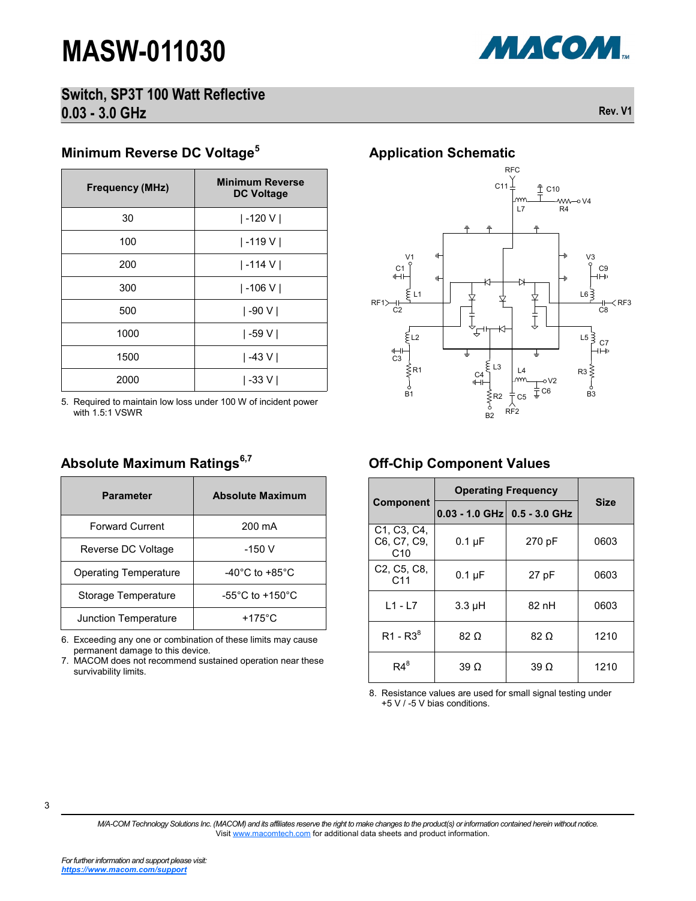

#### **Switch, SP3T 100 Watt Reflective 0.03 - 3.0 GHz Rev. V1**

### **Minimum Reverse DC Voltage<sup>5</sup>**

| <b>Frequency (MHz)</b> | <b>Minimum Reverse</b><br><b>DC Voltage</b> |
|------------------------|---------------------------------------------|
| 30                     | $ -120 V $                                  |
| 100                    | -119 V                                      |
| 200                    | -114 V                                      |
| 300                    | $ -106 V $                                  |
| 500                    | -90 V                                       |
| 1000                   | -59 V                                       |
| 1500                   | -43 V                                       |
| 2000                   | -33 V                                       |

5. Required to maintain low loss under 100 W of incident power with 1.5:1 VSWR

#### **Absolute Maximum Ratings6,7**

| <b>Parameter</b>             | <b>Absolute Maximum</b>               |  |  |
|------------------------------|---------------------------------------|--|--|
| <b>Forward Current</b>       | $200 \text{ mA}$                      |  |  |
| Reverse DC Voltage           | $-150V$                               |  |  |
| <b>Operating Temperature</b> | $-40^{\circ}$ C to $+85^{\circ}$ C    |  |  |
| Storage Temperature          | -55 $^{\circ}$ C to +150 $^{\circ}$ C |  |  |
| <b>Junction Temperature</b>  | +175 $\degree$ C                      |  |  |

6. Exceeding any one or combination of these limits may cause permanent damage to this device.

7. MACOM does not recommend sustained operation near these survivability limits.

#### **Application Schematic**



#### **Off-Chip Component Values**

|                                                                          | <b>Operating Frequency</b>       |             |             |  |
|--------------------------------------------------------------------------|----------------------------------|-------------|-------------|--|
| <b>Component</b>                                                         | $0.03 - 1.0$ GHz $0.5 - 3.0$ GHz |             | <b>Size</b> |  |
| C <sub>1</sub> , C <sub>3</sub> , C <sub>4</sub> ,<br>C6, C7, C9,<br>C10 | $0.1 \mu F$                      | 270 pF      | 0603        |  |
| C <sub>2</sub> , C <sub>5</sub> , C <sub>8</sub> ,<br>C <sub>11</sub>    | $0.1 \mu F$                      | 27 pF       | 0603        |  |
| $L1 - L7$                                                                | $3.3 \mu H$                      | 82 nH       | 0603        |  |
| $R1 - R38$                                                               | $82 \Omega$                      | $82 \Omega$ | 1210        |  |
| $R4^8$                                                                   | $39\Omega$                       | 39 $\Omega$ | 1210        |  |

8. Resistance values are used for small signal testing under +5 V / -5 V bias conditions.

3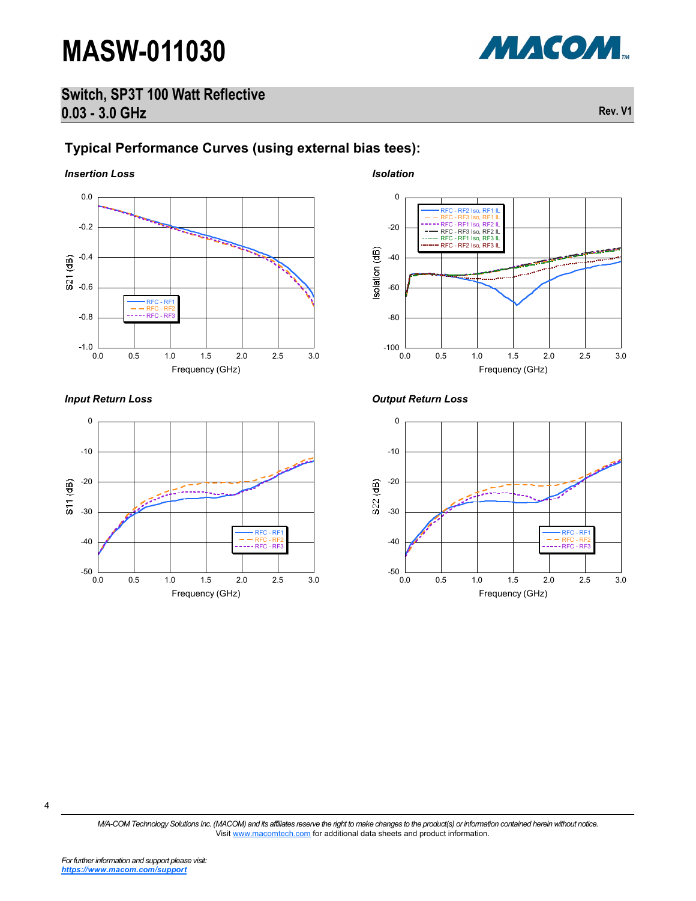

#### **Switch, SP3T 100 Watt Reflective 0.03 - 3.0 GHz Rev. V1**

### **Typical Performance Curves (using external bias tees):**

*Insertion Loss Isolation*



*Input Return Loss*



0 RFC - RF2 Iso, RF1 IL RFC - RF3 Iso, RF1 IL RFC - RF1 Iso, RF2 IL RFC - RF3 Iso, RF2 IL RFC - RF1 Iso, RF3 IL -20 RFC - RF2 Iso, RF3 II solation (dB) -40 س -60 -80 ــا 100-<br>0.0 0.0 0.5 1.0 1.5 2.0 2.5 3.0 Frequency (GHz)

*Output Return Loss*



4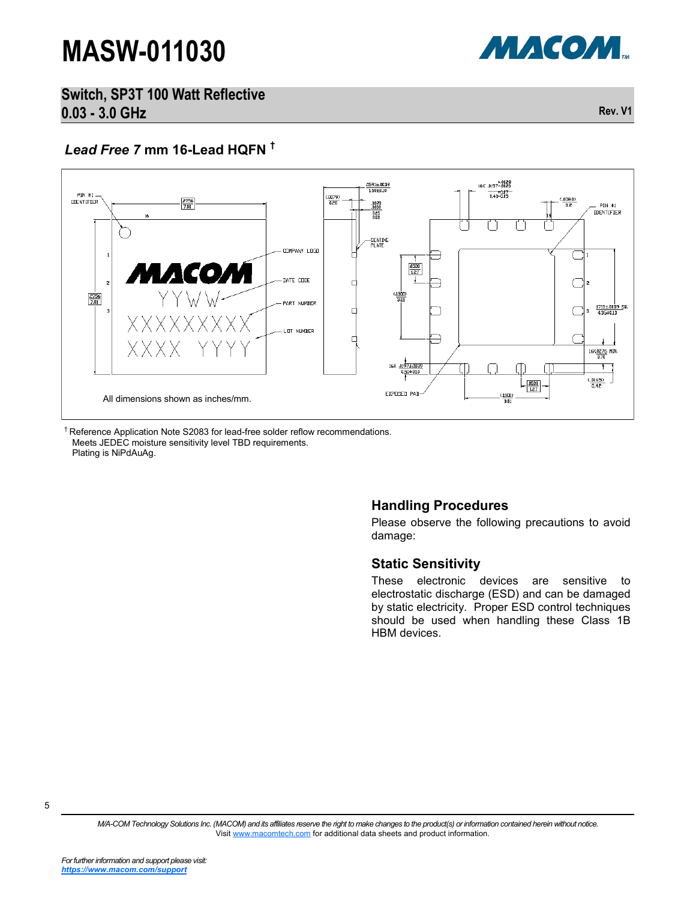

**Switch, SP3T 100 Watt Reflective 0.03 - 3.0 GHz Rev. V1**

#### *Lead Free 7* **mm 16-Lead HQFN †**



<sup>†</sup> Reference Application Note S2083 for lead-free solder reflow recommendations. Meets JEDEC moisture sensitivity level TBD requirements. Plating is NiPdAuAg.

#### **Handling Procedures**

Please observe the following precautions to avoid damage:

#### **Static Sensitivity**

These electronic devices are sensitive to electrostatic discharge (ESD) and can be damaged by static electricity. Proper ESD control techniques should be used when handling these Class 1B HBM devices.